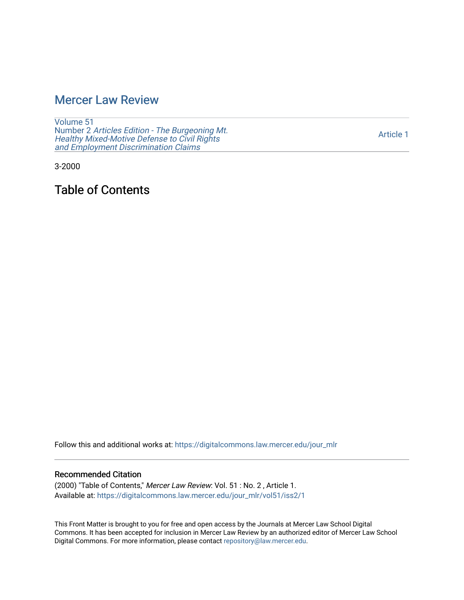# [Mercer Law Review](https://digitalcommons.law.mercer.edu/jour_mlr)

[Volume 51](https://digitalcommons.law.mercer.edu/jour_mlr/vol51) Number 2 [Articles Edition - The Burgeoning Mt.](https://digitalcommons.law.mercer.edu/jour_mlr/vol51/iss2)  Healthy [Mixed-Motive Defense to Civil Rights](https://digitalcommons.law.mercer.edu/jour_mlr/vol51/iss2)  [and Employment Discrimination Claims](https://digitalcommons.law.mercer.edu/jour_mlr/vol51/iss2)

[Article 1](https://digitalcommons.law.mercer.edu/jour_mlr/vol51/iss2/1) 

3-2000

Table of Contents

Follow this and additional works at: [https://digitalcommons.law.mercer.edu/jour\\_mlr](https://digitalcommons.law.mercer.edu/jour_mlr?utm_source=digitalcommons.law.mercer.edu%2Fjour_mlr%2Fvol51%2Fiss2%2F1&utm_medium=PDF&utm_campaign=PDFCoverPages)

#### Recommended Citation

(2000) "Table of Contents," Mercer Law Review: Vol. 51 : No. 2 , Article 1. Available at: [https://digitalcommons.law.mercer.edu/jour\\_mlr/vol51/iss2/1](https://digitalcommons.law.mercer.edu/jour_mlr/vol51/iss2/1?utm_source=digitalcommons.law.mercer.edu%2Fjour_mlr%2Fvol51%2Fiss2%2F1&utm_medium=PDF&utm_campaign=PDFCoverPages)

This Front Matter is brought to you for free and open access by the Journals at Mercer Law School Digital Commons. It has been accepted for inclusion in Mercer Law Review by an authorized editor of Mercer Law School Digital Commons. For more information, please contact [repository@law.mercer.edu](mailto:repository@law.mercer.edu).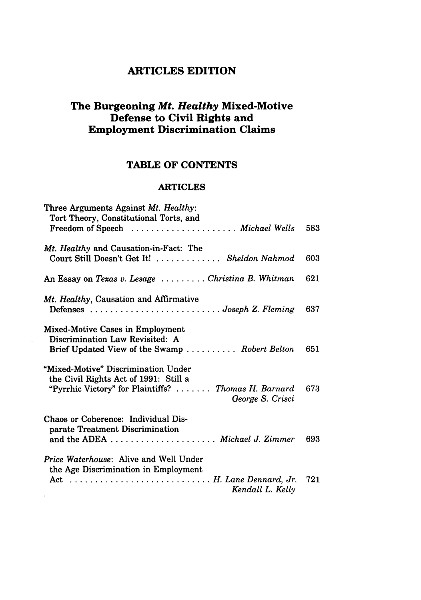## **ARTICLES EDITION**

### **The Burgeoning** *Mt. Healthy* **Mixed-Motive Defense to Civil Rights and Employment Discrimination Claims**

### **TABLE OF CONTENTS**

#### ARTICLES